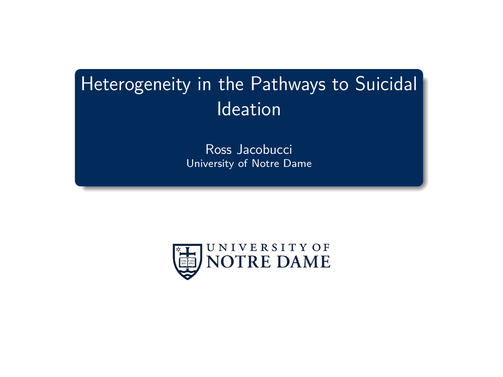# <span id="page-0-0"></span>Heterogeneity in the Pathways to Suicidal Ideation

Ross Jacobucci University of Notre Dame

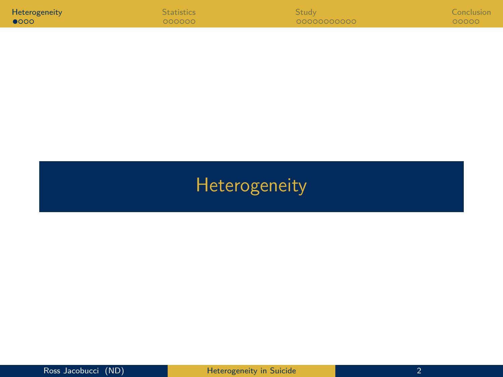<span id="page-1-0"></span>

| Heterogeneity | <b>Statistics</b> | <b>Study</b> | Conclusion |
|---------------|-------------------|--------------|------------|
| 0000          | 000000            | 00000000000  | 00000      |

# [Heterogeneity](#page-1-0)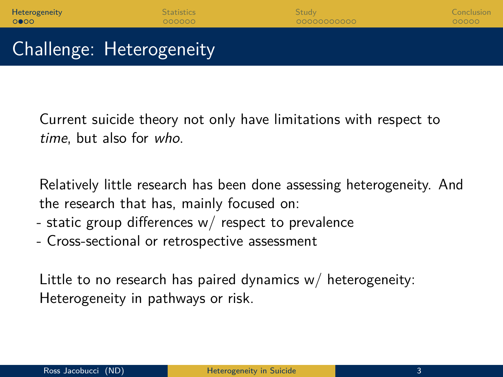Current suicide theory not only have limitations with respect to time, but also for who.

Relatively little research has been done assessing heterogeneity. And the research that has, mainly focused on:

- static group differences w/ respect to prevalence
- Cross-sectional or retrospective assessment

Little to no research has paired dynamics w/ heterogeneity: Heterogeneity in pathways or risk.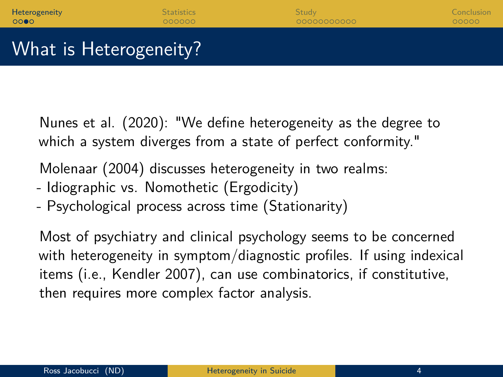Nunes et al. (2020): "We define heterogeneity as the degree to which a system diverges from a state of perfect conformity."

Molenaar (2004) discusses heterogeneity in two realms:

- Idiographic vs. Nomothetic (Ergodicity)
- Psychological process across time (Stationarity)

Most of psychiatry and clinical psychology seems to be concerned with heterogeneity in symptom/diagnostic profiles. If using indexical items (i.e., Kendler 2007), can use combinatorics, if constitutive, then requires more complex factor analysis.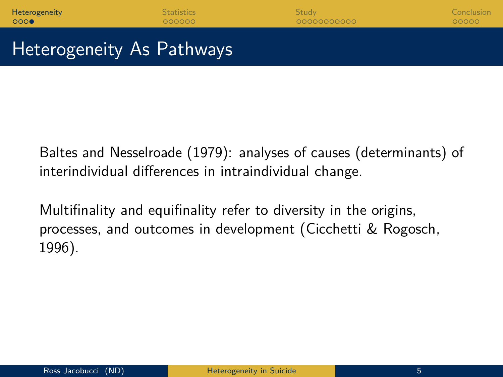### Heterogeneity As Pathways

Baltes and Nesselroade (1979): analyses of causes (determinants) of interindividual differences in intraindividual change.

Multifinality and equifinality refer to diversity in the origins, processes, and outcomes in development (Cicchetti & Rogosch, 1996).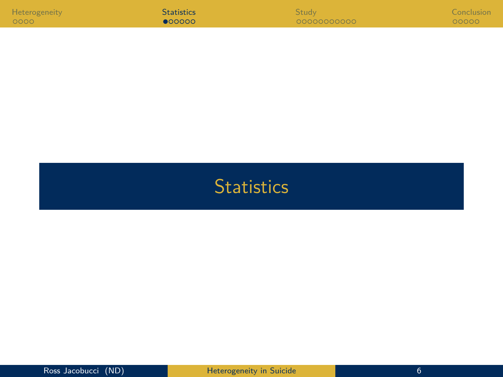<span id="page-5-0"></span>

| Heterogeneity | <b>Statistics</b> | <b>Study</b> | Conclusion |
|---------------|-------------------|--------------|------------|
| 0000          | 000000            | 00000000000  | 00000      |

## **[Statistics](#page-5-0)**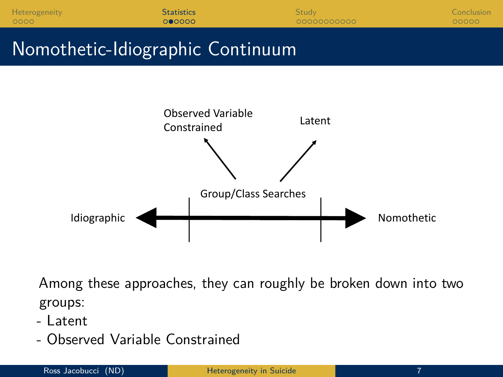| Heterogeneity | <b>Statistics</b> | <b>Study</b> | Conclusion |
|---------------|-------------------|--------------|------------|
| 0000          | 000000            | 00000000000  | 100000     |

## Nomothetic-Idiographic Continuum



Among these approaches, they can roughly be broken down into two groups:

- Latent
- Observed Variable Constrained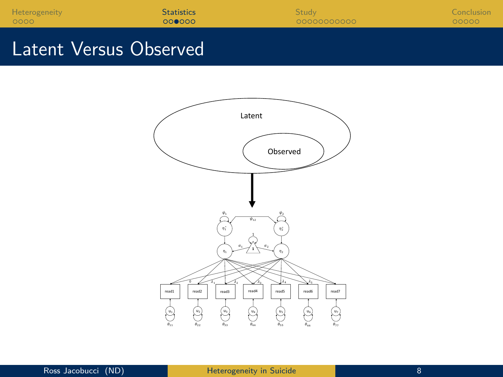| Heterogeneity          | <b>Statistics</b> | Study       | Conclusion |
|------------------------|-------------------|-------------|------------|
| 0000                   | 000000            | 00000000000 | 00000      |
| Latent Versus Observed |                   |             |            |

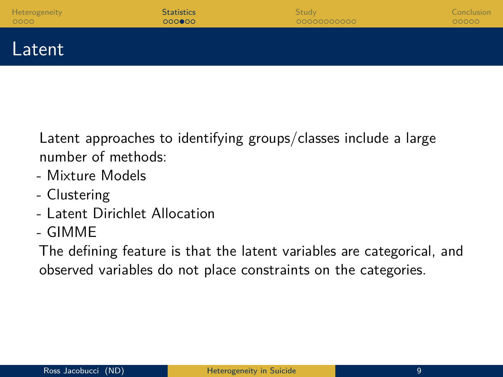| Heterogeneity | <b>Statistics</b> | Study       | Conclusion |
|---------------|-------------------|-------------|------------|
| 0000          | 000000            | 00000000000 | 00000      |
| <b>Latent</b> |                   |             |            |

Latent approaches to identifying groups/classes include a large number of methods:

- Mixture Models
- Clustering
- Latent Dirichlet Allocation
- GIMME

The defining feature is that the latent variables are categorical, and observed variables do not place constraints on the categories.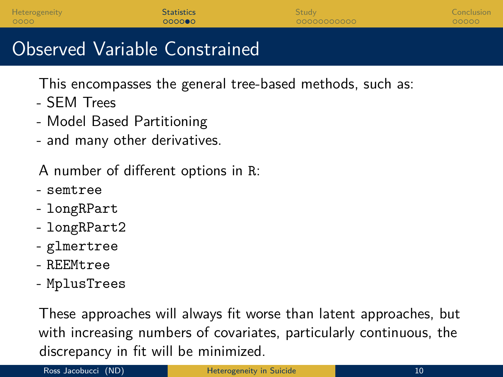| Heterogeneity<br><b>Statistics</b> | Study:      | Conclusion |
|------------------------------------|-------------|------------|
| 0000<br>000000                     | 00000000000 | 00000      |

### Observed Variable Constrained

This encompasses the general tree-based methods, such as:

- SEM Trees
- Model Based Partitioning
- and many other derivatives.

A number of different options in R:

- semtree
- longRPart
- longRPart2
- glmertree
- REEMtree
- MplusTrees

These approaches will always fit worse than latent approaches, but with increasing numbers of covariates, particularly continuous, the discrepancy in fit will be minimized.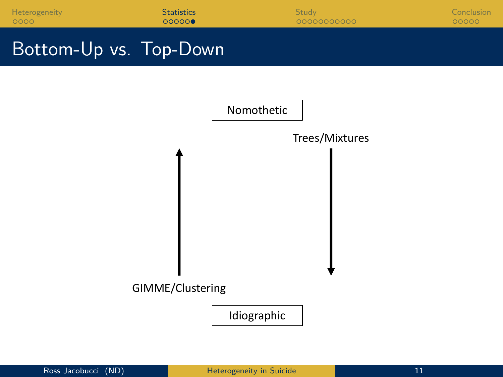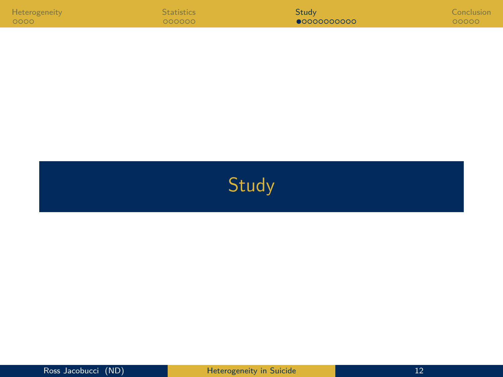<span id="page-11-0"></span>

| Heterogeneity | <b>Statistics</b> | Study       | Conclusion |
|---------------|-------------------|-------------|------------|
| 0000          | 000000            | 00000000000 | 00000      |

[Study](#page-11-0)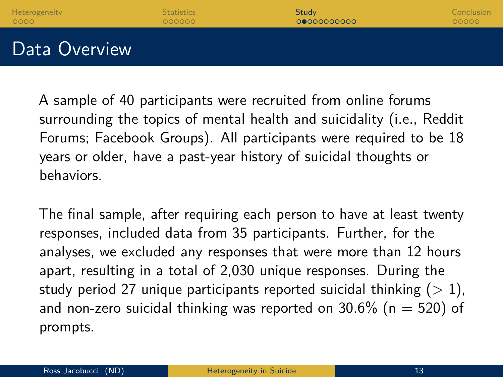

A sample of 40 participants were recruited from online forums surrounding the topics of mental health and suicidality (i.e., Reddit Forums; Facebook Groups). All participants were required to be 18 years or older, have a past-year history of suicidal thoughts or behaviors.

The final sample, after requiring each person to have at least twenty responses, included data from 35 participants. Further, for the analyses, we excluded any responses that were more than 12 hours apart, resulting in a total of 2,030 unique responses. During the study period 27 unique participants reported suicidal thinking  $(>1)$ , and non-zero suicidal thinking was reported on  $30.6\%$  (n = 520) of prompts.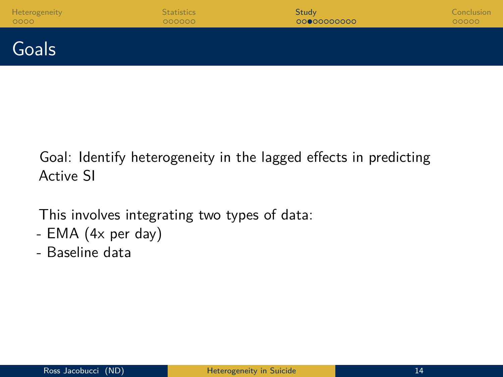| Heterogeneity | <b>Statistics</b> | Study       | Conclusion |
|---------------|-------------------|-------------|------------|
| 0000          | 000000            | 00000000000 | 00000      |
| Goals         |                   |             |            |

Goal: Identify heterogeneity in the lagged effects in predicting Active SI

This involves integrating two types of data:

- EMA (4x per day)
- Baseline data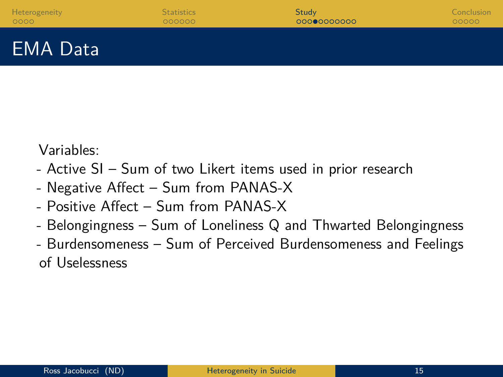## EMA Data

Variables:

- Active SI Sum of two Likert items used in prior research
- Negative Affect Sum from PANAS-X
- Positive Affect Sum from PANAS-X
- Belongingness Sum of Loneliness Q and Thwarted Belongingness
- Burdensomeness Sum of Perceived Burdensomeness and Feelings of Uselessness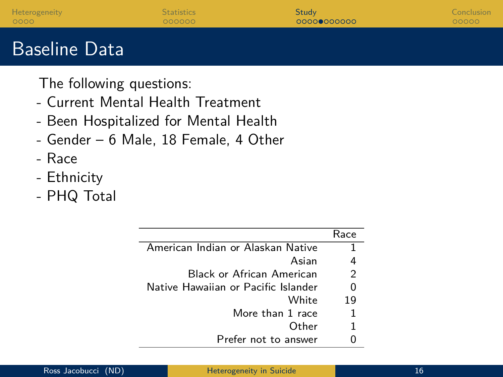| Heterogeneity<br>0000    | <b>Statistics</b><br>000000       | Study<br>00000000000 | Conclusion<br>00000 |
|--------------------------|-----------------------------------|----------------------|---------------------|
| <b>Baseline Data</b>     |                                   |                      |                     |
| The following questions: | - Current Mental Health Treatment |                      |                     |

- Been Hospitalized for Mental Health
- Gender 6 Male, 18 Female, 4 Other

ł,

- Race
- Ethnicity
- PHQ Total

|                                     | Race |
|-------------------------------------|------|
|                                     |      |
| American Indian or Alaskan Native   |      |
| Asian                               | 4    |
| <b>Black or African American</b>    | 2    |
| Native Hawaiian or Pacific Islander | 0    |
| A/hite                              | 19   |
| More than 1 race                    | 1    |
| Other                               | 1    |
| Prefer not to answer                |      |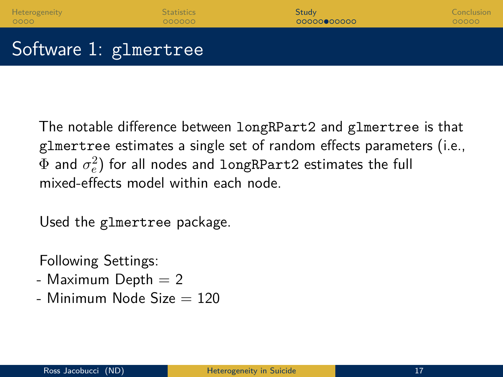The notable difference between longRPart2 and glmertree is that glmertree estimates a single set of random effects parameters (i.e.,  $\Phi$  and  $\sigma^2_e)$  for all nodes and longRPart2 estimates the full mixed-effects model within each node.

Used the glmertree package.

Following Settings:

- Maximum Depth  $= 2$
- $-$  Minimum Node Size  $= 120$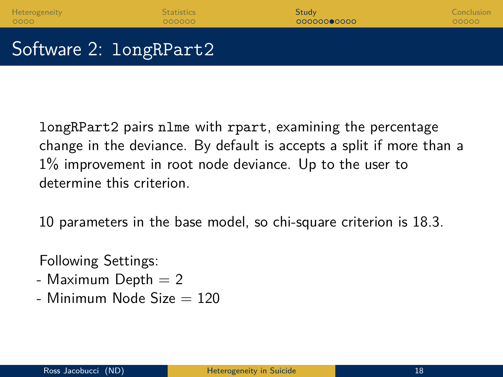longRPart2 pairs nlme with rpart, examining the percentage change in the deviance. By default is accepts a split if more than a 1% improvement in root node deviance. Up to the user to determine this criterion.

10 parameters in the base model, so chi-square criterion is 18.3.

Following Settings:

- Maximum Depth  $= 2$
- $-$  Minimum Node Size  $= 120$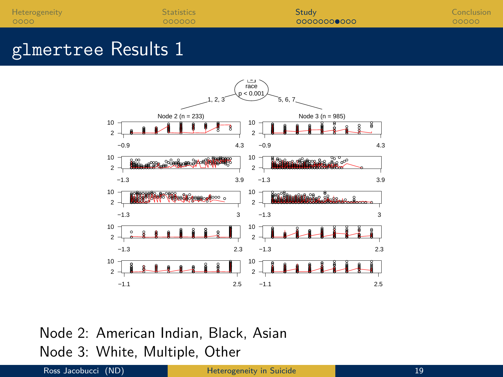| Heterogeneity | Statistics | Study       | Conclusion |
|---------------|------------|-------------|------------|
| 0000          | 000000     | 00000000000 | 00000      |
|               |            |             |            |

### glmertree Results 1



Node 2: American Indian, Black, Asian Node 3: White, Multiple, Other

#### Ross Jacobucci (ND) **[Heterogeneity in Suicide](#page-0-0)** 19 November 19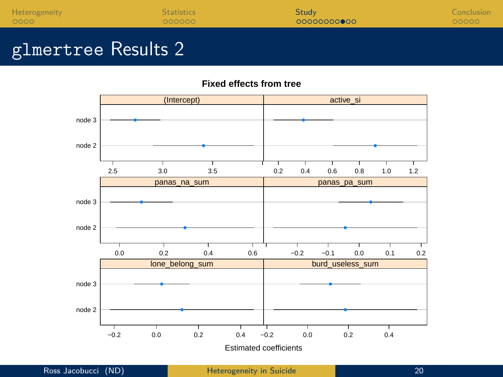[Heterogeneity](#page-1-0) [Statistics](#page-5-0) Statistics Statistics [Study](#page-11-0) Study Study Study Study [Conclusion](#page-22-0)

### glmertree Results 2

**Fixed effects from tree**

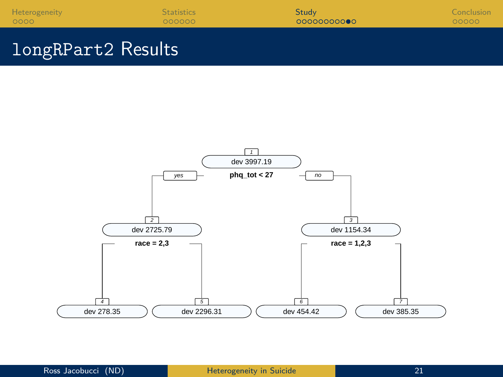| Heterogeneity | <b>Statistics</b> | <b>Study</b> | Conclusion <sup>1</sup> |
|---------------|-------------------|--------------|-------------------------|
| 0000          | 000000            | 00000000000  | 00000                   |
|               |                   |              |                         |

### longRPart2 Results

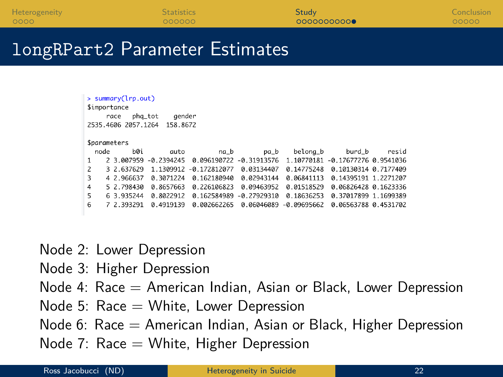### longRPart2 Parameter Estimates

| $>$ summary( $lrp.out$ )<br><i><b>\$importance</b></i><br>gender<br>pha_tot<br>race<br>2535.4606 2057.1264<br>158.8672 |             |              |                |               |               |                         |       |  |  |
|------------------------------------------------------------------------------------------------------------------------|-------------|--------------|----------------|---------------|---------------|-------------------------|-------|--|--|
| <i><b>Sparameters</b></i>                                                                                              |             |              |                |               |               |                         |       |  |  |
| node                                                                                                                   | <b>b</b> Øi | auto         | na_b           | pa b          | belona_b      | burd_b                  | resid |  |  |
| $\mathbf{1}$                                                                                                           | 2 3.007959  | $-0.2394245$ | 0.096190722    | $-0.31913576$ | 1.10770181    | $-0.1767727600.9541036$ |       |  |  |
| 2                                                                                                                      | 3 2.637629  | 1.1309912    | $-0.172812077$ | 0.03134407    | 0.14775248    | 0.10130314 0.7177409    |       |  |  |
| 3                                                                                                                      | 4 2.966637  | 0.3071224    | 0.162180940    | 0.02943144    | 0.06841113    | 0.14395191 1.2271207    |       |  |  |
| 4                                                                                                                      | 5 2.798430  | 0.8657663    | 0.226106823    | 0.09463952    | 0.01518529    | 0.06826428 0.1623336    |       |  |  |
| 5                                                                                                                      | 6 3.935244  | 0.8022912    | 0.162584989    | $-0.27929310$ | 0.18636253    | 0.37017899 1.1699389    |       |  |  |
| 6                                                                                                                      | 7 2.393291  | 0.4919139    | 0.002662265    | 0.06046089    | $-0.09695662$ | 0.06563788 0.4531702    |       |  |  |

- Node 2: Lower Depression
- Node 3: Higher Depression
- Node 4: Race  $=$  American Indian, Asian or Black, Lower Depression
- Node 5:  $Race = White$ , Lower Depression
- Node 6: Race  $=$  American Indian, Asian or Black, Higher Depression
- Node 7:  $\text{Race} = \text{White}$ , Higher Depression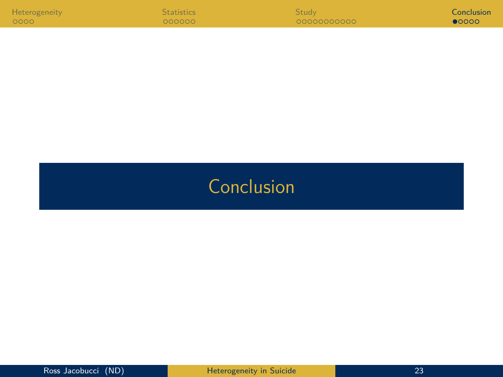<span id="page-22-0"></span>

| <b>Heterogeneity</b> | <b>Statistics</b> | Study       | Conclusion     |
|----------------------|-------------------|-------------|----------------|
| 0000                 | 000000            | 00000000000 | $\bullet$ 0000 |

# **[Conclusion](#page-22-0)**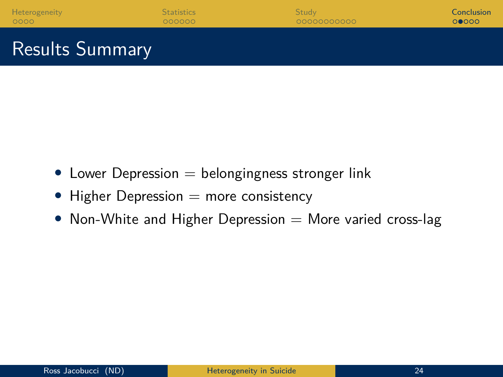- Lower Depression  $=$  belongingness stronger link
- Higher Depression  $=$  more consistency
- Non-White and Higher Depression  $=$  More varied cross-lag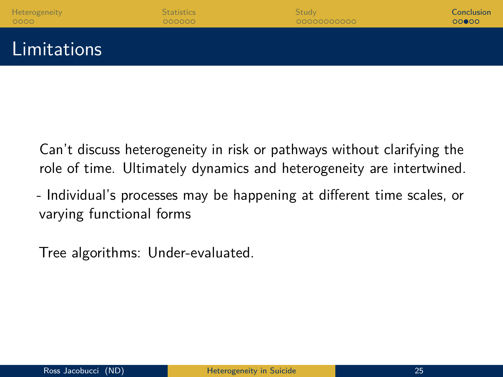| Heterogeneity | <b>Statistics</b> | <b>Study</b> | Conclusion |
|---------------|-------------------|--------------|------------|
| 0000          | 000000            | 00000000000  | 00000      |
|               |                   |              |            |

Limitations

Can't discuss heterogeneity in risk or pathways without clarifying the role of time. Ultimately dynamics and heterogeneity are intertwined.

- Individual's processes may be happening at different time scales, or varying functional forms

Tree algorithms: Under-evaluated.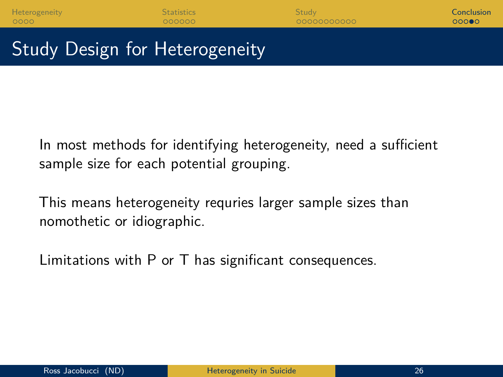[Heterogeneity](#page-1-0) [Statistics](#page-5-0) [Study](#page-11-0) [Conclusion](#page-22-0)

## Study Design for Heterogeneity

In most methods for identifying heterogeneity, need a sufficient sample size for each potential grouping.

This means heterogeneity requries larger sample sizes than nomothetic or idiographic.

Limitations with P or T has significant consequences.